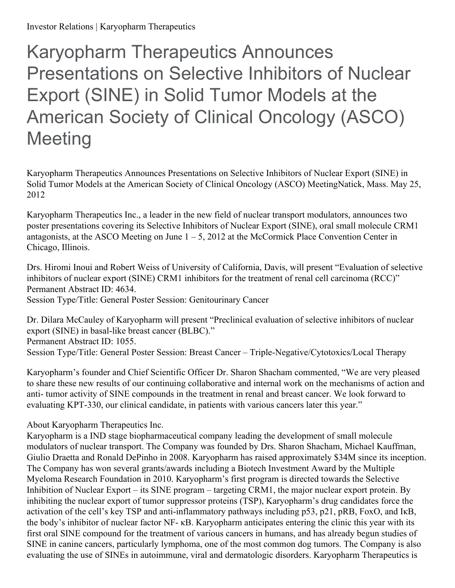## Karyopharm Therapeutics Announces Presentations on Selective Inhibitors of Nuclear Export (SINE) in Solid Tumor Models at the American Society of Clinical Oncology (ASCO) **Meeting**

Karyopharm Therapeutics Announces Presentations on Selective Inhibitors of Nuclear Export (SINE) in Solid Tumor Models at the American Society of Clinical Oncology (ASCO) MeetingNatick, Mass. May 25, 2012

Karyopharm Therapeutics Inc., a leader in the new field of nuclear transport modulators, announces two poster presentations covering its Selective Inhibitors of Nuclear Export (SINE), oral small molecule CRM1 antagonists, at the ASCO Meeting on June  $1 - 5$ , 2012 at the McCormick Place Convention Center in Chicago, Illinois.

Drs. Hiromi Inoui and Robert Weiss of University of California, Davis, will present "Evaluation of selective inhibitors of nuclear export (SINE) CRM1 inhibitors for the treatment of renal cell carcinoma (RCC)" Permanent Abstract ID: 4634.

Session Type/Title: General Poster Session: Genitourinary Cancer

Dr. Dilara McCauley of Karyopharm will present "Preclinical evaluation of selective inhibitors of nuclear export (SINE) in basal-like breast cancer (BLBC)." Permanent Abstract ID: 1055. Session Type/Title: General Poster Session: Breast Cancer – Triple-Negative/Cytotoxics/Local Therapy

Karyopharm's founder and Chief Scientific Officer Dr. Sharon Shacham commented, "We are very pleased to share these new results of our continuing collaborative and internal work on the mechanisms of action and anti- tumor activity of SINE compounds in the treatment in renal and breast cancer. We look forward to evaluating KPT-330, our clinical candidate, in patients with various cancers later this year."

About Karyopharm Therapeutics Inc.

Karyopharm is a IND stage biopharmaceutical company leading the development of small molecule modulators of nuclear transport. The Company was founded by Drs. Sharon Shacham, Michael Kauffman, Giulio Draetta and Ronald DePinho in 2008. Karyopharm has raised approximately \$34M since its inception. The Company has won several grants/awards including a Biotech Investment Award by the Multiple Myeloma Research Foundation in 2010. Karyopharm's first program is directed towards the Selective Inhibition of Nuclear Export – its SINE program – targeting CRM1, the major nuclear export protein. By inhibiting the nuclear export of tumor suppressor proteins (TSP), Karyopharm's drug candidates force the activation of the cell's key TSP and anti-inflammatory pathways including p53, p21, pRB, FoxO, and IκB, the body's inhibitor of nuclear factor NF- κB. Karyopharm anticipates entering the clinic this year with its first oral SINE compound for the treatment of various cancers in humans, and has already begun studies of SINE in canine cancers, particularly lymphoma, one of the most common dog tumors. The Company is also evaluating the use of SINEs in autoimmune, viral and dermatologic disorders. Karyopharm Therapeutics is